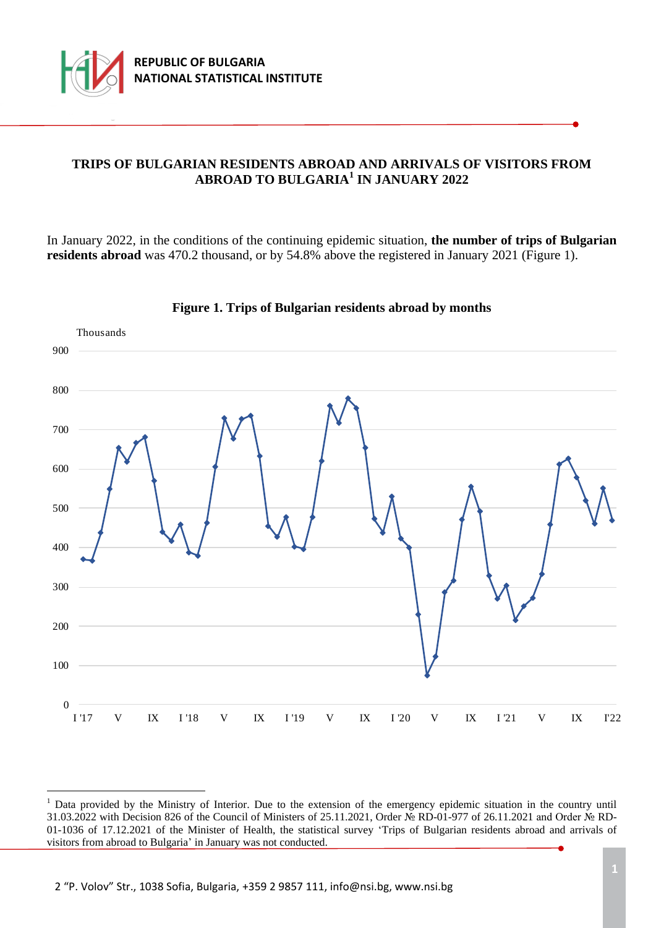

÷.

## **TRIPS OF BULGARIAN RESIDENTS ABROAD AND ARRIVALS OF VISITORS FROM ABROAD TO BULGARIA<sup>1</sup> IN JANUARY 2022**

In January 2022, in the conditions of the continuing epidemic situation, **the number of trips of Bulgarian residents abroad** was 470.2 thousand, or by 54.8% above the registered in January 2021 (Figure 1).



**Figure 1. Trips of Bulgarian residents abroad by months**

<sup>&</sup>lt;sup>1</sup> Data provided by the Ministry of Interior. Due to the extension of the emergency epidemic situation in the country until 31.03.2022 with Decision 826 of the Council of Ministers of 25.11.2021, Order № RD-01-977 of 26.11.2021 and Order № RD-01-1036 of 17.12.2021 of the Minister of Health, the statistical survey 'Trips of Bulgarian residents abroad and arrivals of visitors from abroad to Bulgaria' in January was not conducted.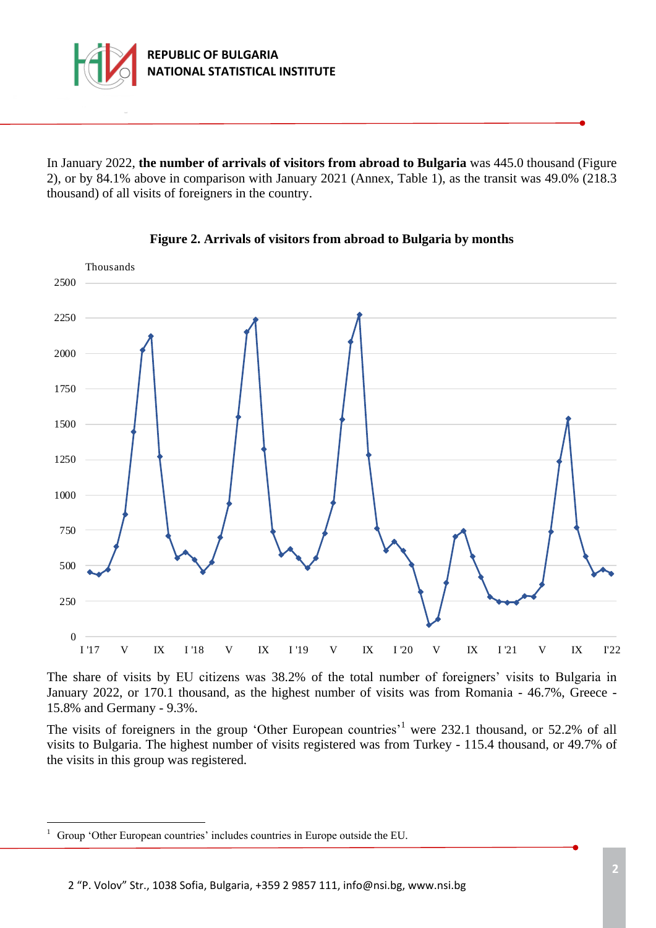

In January 2022, **the number of arrivals of visitors from abroad to Bulgaria** was 445.0 thousand (Figure 2), or by 84.1% above in comparison with January 2021 (Annex, Table 1), as the transit was 49.0% (218.3 thousand) of all visits of foreigners in the country.



### **Figure 2. Arrivals of visitors from abroad to Bulgaria by months**

The share of visits by ЕU citizens was 38.2% of the total number of foreigners' visits to Bulgaria in January 2022, or 170.1 thousand, as the highest number of visits was from Romania - 46.7%, Greece - 15.8% and Germany - 9.3%.

The visits of foreigners in the group 'Other European countries'<sup>1</sup> were 232.1 thousand, or 52.2% of all visits to Bulgaria. The highest number of visits registered was from Turkey - 115.4 thousand, or 49.7% of the visits in this group was registered.

÷.

<sup>&</sup>lt;sup>1</sup> Group 'Other European countries' includes countries in Europe outside the EU.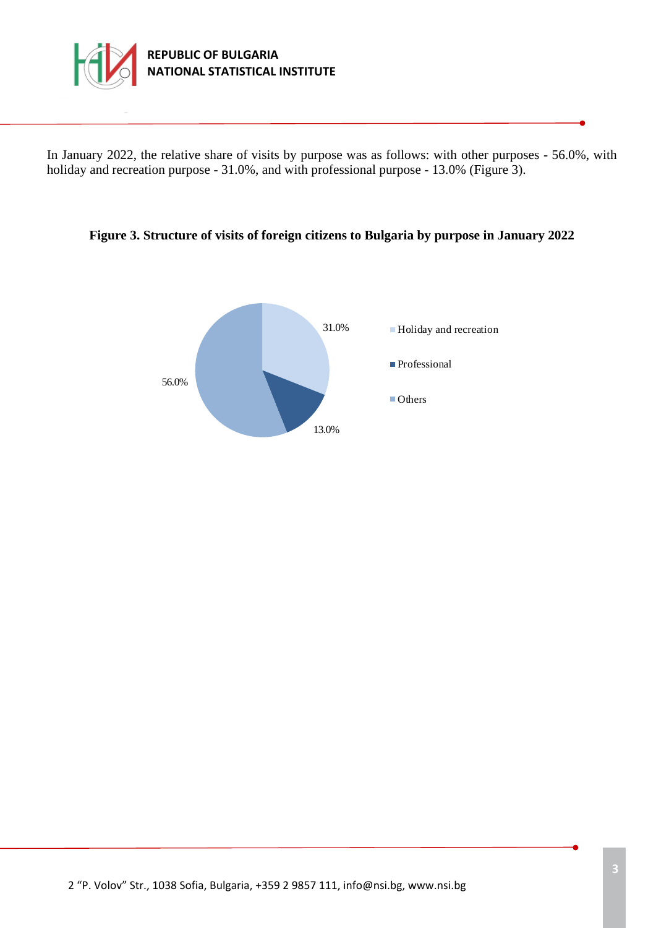

In January 2022, the relative share of visits by purpose was as follows: with other purposes - 56.0%, with holiday and recreation purpose - 31.0%, and with professional purpose - 13.0% (Figure 3).

#### **Figure 3. Structure of visits of foreign citizens to Bulgaria by purpose in January 2022**

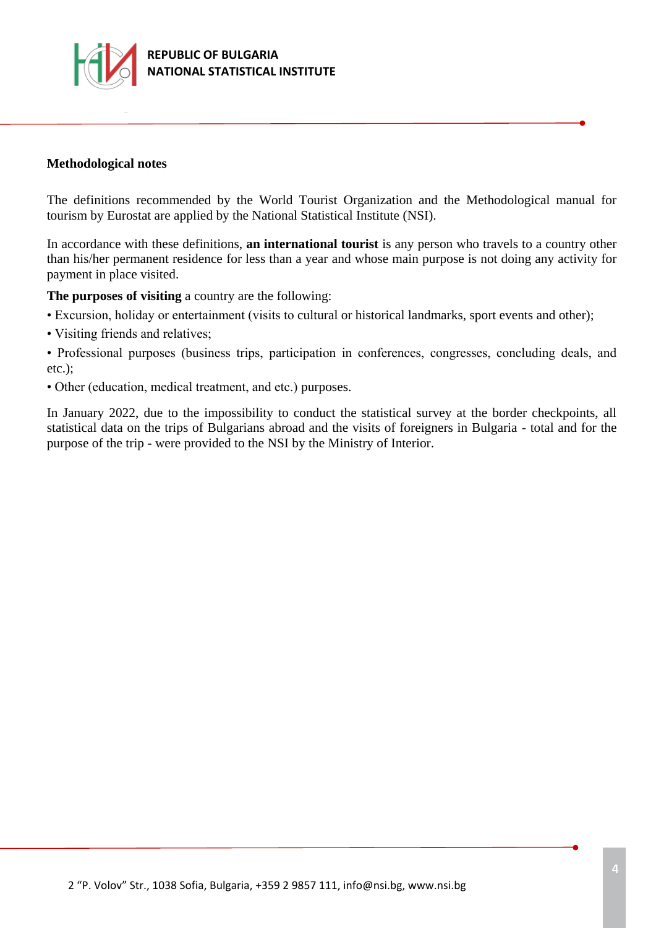

#### **Methodological notes**

The definitions recommended by the World Tourist Organization and the Methodological manual for tourism by Eurostat are applied by the National Statistical Institute (NSI).

In accordance with these definitions, **an international tourist** is any person who travels to a country other than his/her permanent residence for less than a year and whose main purpose is not doing any activity for payment in place visited.

**The purposes of visiting** a country are the following:

- Excursion, holiday or entertainment (visits to cultural or historical landmarks, sport events and other);
- Visiting friends and relatives;

• Professional purposes (business trips, participation in conferences, congresses, concluding deals, and etc.);

• Other (education, medical treatment, and etc.) purposes.

In January 2022, due to the impossibility to conduct the statistical survey at the border checkpoints, all statistical data on the trips of Bulgarians abroad and the visits of foreigners in Bulgaria - total and for the purpose of the trip - were provided to the NSI by the Ministry of Interior.